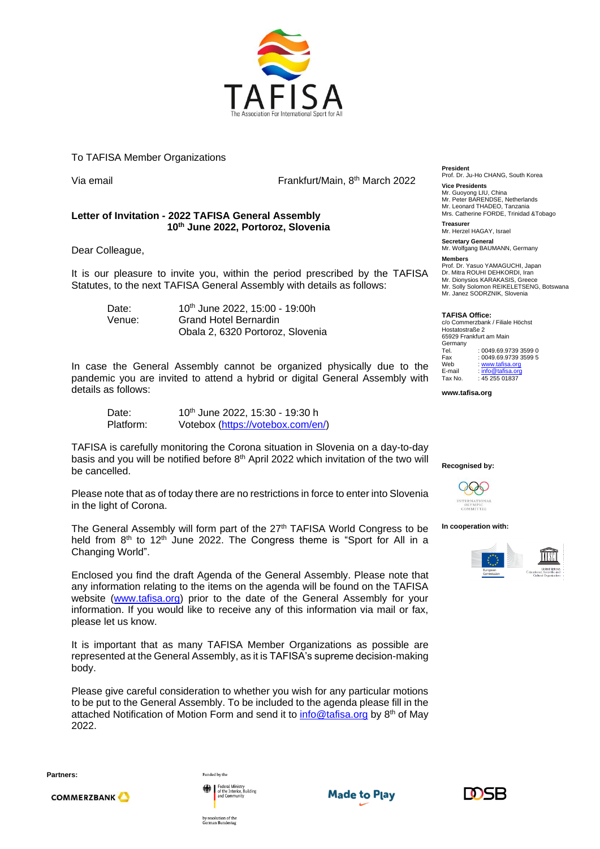

## To TAFISA Member Organizations

Via email **Frankfurt/Main, 8<sup>th</sup> March 2022** 

## **Letter of Invitation - 2022 TAFISA General Assembly 10th June 2022, Portoroz, Slovenia**

Dear Colleague,

It is our pleasure to invite you, within the period prescribed by the TAFISA Statutes, to the next TAFISA General Assembly with details as follows:

Date: 10<sup>th</sup> June 2022, 15:00 - 19:00h Venue: Grand Hotel Bernardin Obala 2, 6320 Portoroz, Slovenia

In case the General Assembly cannot be organized physically due to the pandemic you are invited to attend a hybrid or digital General Assembly with details as follows:

Date: 10<sup>th</sup> June 2022, 15:30 - 19:30 h Platform: Votebox [\(https://votebox.com/en/\)](https://votebox.com/en/)

TAFISA is carefully monitoring the Corona situation in Slovenia on a day-to-day basis and you will be notified before 8<sup>th</sup> April 2022 which invitation of the two will be cancelled.

Please note that as of today there are no restrictions in force to enter into Slovenia in the light of Corona.

The General Assembly will form part of the 27<sup>th</sup> TAFISA World Congress to be held from  $8<sup>th</sup>$  to 12<sup>th</sup> June 2022. The Congress theme is "Sport for All in a Changing World".

Enclosed you find the draft Agenda of the General Assembly. Please note that any information relating to the items on the agenda will be found on the TAFISA website [\(www.tafisa.org\)](http://www.tafisa.org/) prior to the date of the General Assembly for your information. If you would like to receive any of this information via mail or fax, please let us know.

It is important that as many TAFISA Member Organizations as possible are represented at the General Assembly, as it is TAFISA's supreme decision-making body.

Please give careful consideration to whether you wish for any particular motions to be put to the General Assembly. To be included to the agenda please fill in the attached Notification of Motion Form and send it to **info@tafisa.org** by 8<sup>th</sup> of May 2022.

**Partners:**

**COMMERZBANK** 



Funded by the

by resolution of the<br>German Bundestag





**President** Prof. Dr. Ju-Ho CHANG, South Korea **Vice Presidents**

Mr. Guoyong LIU, China Mr. Peter BARENDSE, Netherlands Mr. Leonard THADEO, Tanzania Mrs. Catherine FORDE, Trinidad &Tobago **Treasurer**

Mr. Herzel HAGAY, Israel

**Secretary General** Mr. Wolfgang BAUMANN, Germany **Members**

Prof. Dr. Yasuo YAMAGUCHI, Japan Dr. Mitra ROUHI DEHKORDI, Iran Mr. Dionysios KARAKASIS, Greece Mr. Solly Solomon REIKELETSENG, Botswana Mr. Janez SODRZNIK, Slovenia

## **TAFISA Office:**

c/o Commerzbank / Filiale Höchst Hostatostraße 2 65929 Frankfurt am Main Germany<br>Tel Tel. : 0049.69.9739 3599 0<br>Fax : 0049.69.9739 3599 5 Fax : 0049.69.9739 3599 5<br>Web : www.tafisa.org Web [: www.tafisa.org](http://www.tafisa.org/)<br>E-mail : info@tafisa.org E-mail : <u>info@tafisa.org</u><br>Tax No. : 45 255 01837

**www.tafisa.org**





## **In cooperation with:**